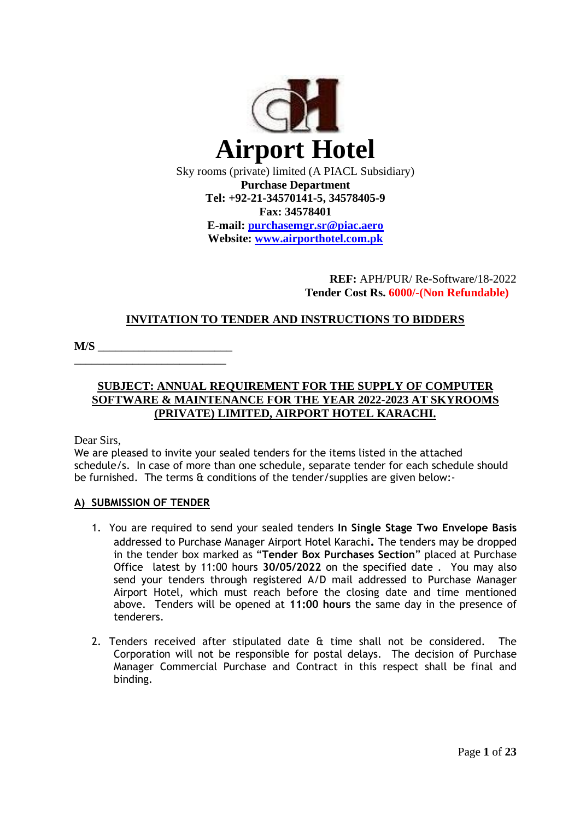

**Purchase Department Tel: +92-21-34570141-5, 34578405-9 Fax: 34578401 E-mail: [purchasemgr.sr@piac.aero](mailto:purchasemgr.sr@piac.aero) Website: www.airporthotel.com.pk**

# **REF:** APH/PUR/ Re-Software/18-2022  **Tender Cost Rs. 6000/-(Non Refundable)**

# **INVITATION TO TENDER AND INSTRUCTIONS TO BIDDERS**

**M/S** \_\_\_\_\_\_\_\_\_\_\_\_\_\_\_\_\_\_\_\_\_\_\_

# **SUBJECT: ANNUAL REQUIREMENT FOR THE SUPPLY OF COMPUTER SOFTWARE & MAINTENANCE FOR THE YEAR 2022-2023 AT SKYROOMS (PRIVATE) LIMITED, AIRPORT HOTEL KARACHI.**

Dear Sirs,

We are pleased to invite your sealed tenders for the items listed in the attached schedule/s. In case of more than one schedule, separate tender for each schedule should be furnished. The terms & conditions of the tender/supplies are given below:-

### **A) SUBMISSION OF TENDER**

\_\_\_\_\_\_\_\_\_\_\_\_\_\_\_\_\_\_\_\_\_\_\_\_\_\_

- 1. You are required to send your sealed tenders **In Single Stage Two Envelope Basis**  addressed to Purchase Manager Airport Hotel Karachi**.** The tenders may be dropped in the tender box marked as "**Tender Box Purchases Section**" placed at Purchase Office latest by 11:00 hours **30/05/2022** on the specified date . You may also send your tenders through registered A/D mail addressed to Purchase Manager Airport Hotel, which must reach before the closing date and time mentioned above. Tenders will be opened at **11:00 hours** the same day in the presence of tenderers.
- 2. Tenders received after stipulated date & time shall not be considered. The Corporation will not be responsible for postal delays. The decision of Purchase Manager Commercial Purchase and Contract in this respect shall be final and binding.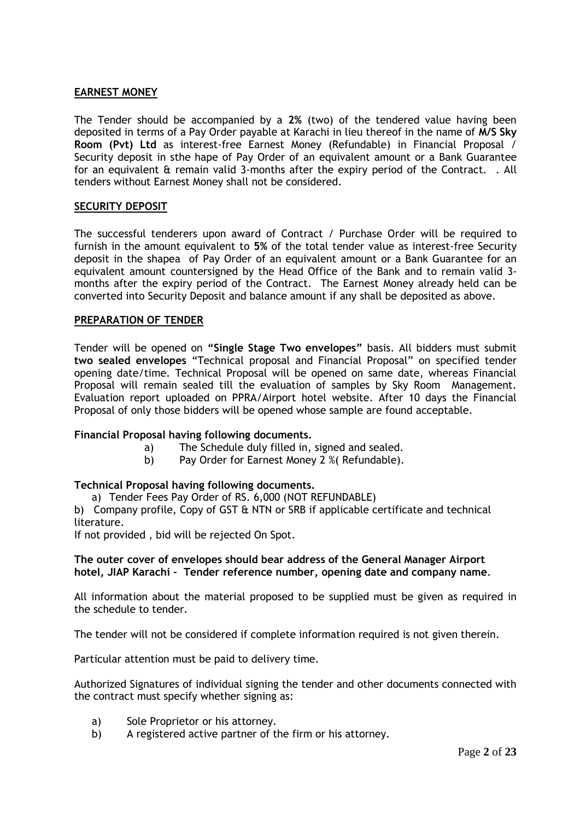#### **EARNEST MONEY**

The Tender should be accompanied by a **2%** (two) of the tendered value having been deposited in terms of a Pay Order payable at Karachi in lieu thereof in the name of **M/S Sky Room (Pvt) Ltd** as interest-free Earnest Money (Refundable) in Financial Proposal / Security deposit in sthe hape of Pay Order of an equivalent amount or a Bank Guarantee for an equivalent & remain valid 3-months after the expiry period of the Contract. . All tenders without Earnest Money shall not be considered.

#### **SECURITY DEPOSIT**

The successful tenderers upon award of Contract / Purchase Order will be required to furnish in the amount equivalent to **5%** of the total tender value as interest-free Security deposit in the shapea of Pay Order of an equivalent amount or a Bank Guarantee for an equivalent amount countersigned by the Head Office of the Bank and to remain valid 3 months after the expiry period of the Contract. The Earnest Money already held can be converted into Security Deposit and balance amount if any shall be deposited as above.

#### **PREPARATION OF TENDER**

Tender will be opened on **"Single Stage Two envelopes"** basis. All bidders must submit **two sealed envelopes** "Technical proposal and Financial Proposal" on specified tender opening date/time. Technical Proposal will be opened on same date, whereas Financial Proposal will remain sealed till the evaluation of samples by Sky Room Management. Evaluation report uploaded on PPRA/Airport hotel website. After 10 days the Financial Proposal of only those bidders will be opened whose sample are found acceptable.

#### **Financial Proposal having following documents.**

- a) The Schedule duly filled in, signed and sealed.
- b) Pay Order for Earnest Money 2 %( Refundable).

### **Technical Proposal having following documents.**

a) Tender Fees Pay Order of RS. 6,000 (NOT REFUNDABLE)

b) Company profile, Copy of GST & NTN or SRB if applicable certificate and technical literature.

If not provided , bid will be rejected On Spot.

#### **The outer cover of envelopes should bear address of the General Manager Airport hotel, JIAP Karachi – Tender reference number, opening date and company name**.

All information about the material proposed to be supplied must be given as required in the schedule to tender.

The tender will not be considered if complete information required is not given therein.

Particular attention must be paid to delivery time.

Authorized Signatures of individual signing the tender and other documents connected with the contract must specify whether signing as:

- a) Sole Proprietor or his attorney.
- b) A registered active partner of the firm or his attorney.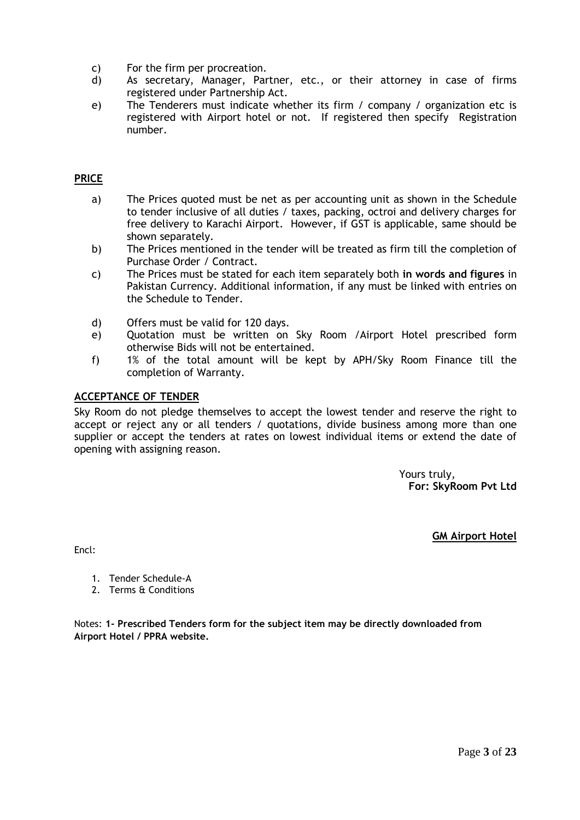- c) For the firm per procreation.
- d) As secretary, Manager, Partner, etc., or their attorney in case of firms registered under Partnership Act.
- e) The Tenderers must indicate whether its firm / company / organization etc is registered with Airport hotel or not. If registered then specify Registration number.

# **PRICE**

- a) The Prices quoted must be net as per accounting unit as shown in the Schedule to tender inclusive of all duties / taxes, packing, octroi and delivery charges for free delivery to Karachi Airport. However, if GST is applicable, same should be shown separately.
- b) The Prices mentioned in the tender will be treated as firm till the completion of Purchase Order / Contract.
- c) The Prices must be stated for each item separately both **in words and figures** in Pakistan Currency. Additional information, if any must be linked with entries on the Schedule to Tender.
- d) Offers must be valid for 120 days.
- e) Quotation must be written on Sky Room /Airport Hotel prescribed form otherwise Bids will not be entertained.
- f) 1% of the total amount will be kept by APH/Sky Room Finance till the completion of Warranty.

### **ACCEPTANCE OF TENDER**

Sky Room do not pledge themselves to accept the lowest tender and reserve the right to accept or reject any or all tenders / quotations, divide business among more than one supplier or accept the tenders at rates on lowest individual items or extend the date of opening with assigning reason.

> Yours truly, **For: SkyRoom Pvt Ltd**

> > **GM Airport Hotel**

Encl:

- 1. Tender Schedule-A
- 2. Terms & Conditions

Notes: **1- Prescribed Tenders form for the subject item may be directly downloaded from Airport Hotel / PPRA website.**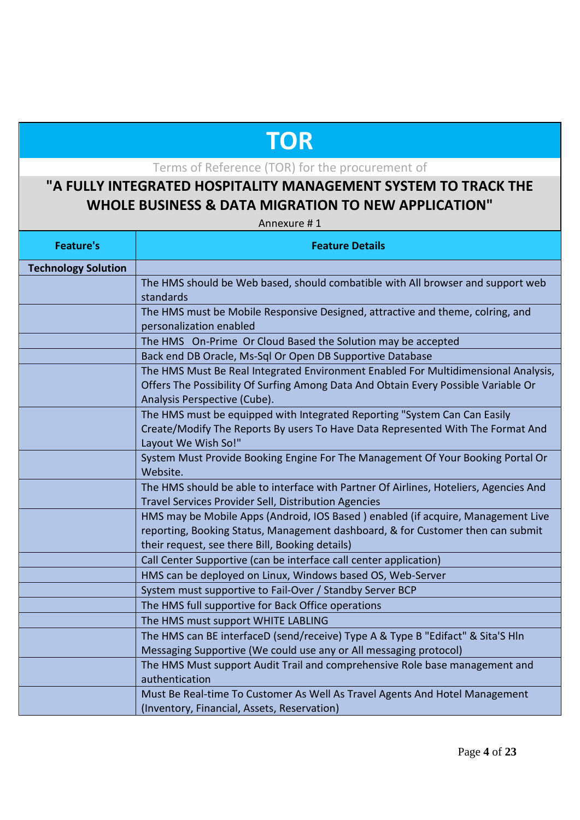# **TOR**

Terms of Reference (TOR) for the procurement of

# **"A FULLY INTEGRATED HOSPITALITY MANAGEMENT SYSTEM TO TRACK THE WHOLE BUSINESS & DATA MIGRATION TO NEW APPLICATION"**

Annexure # 1

| <b>Feature's</b>           | <b>Feature Details</b>                                                                                 |  |
|----------------------------|--------------------------------------------------------------------------------------------------------|--|
| <b>Technology Solution</b> |                                                                                                        |  |
|                            | The HMS should be Web based, should combatible with All browser and support web                        |  |
|                            | standards                                                                                              |  |
|                            | The HMS must be Mobile Responsive Designed, attractive and theme, colring, and                         |  |
|                            | personalization enabled                                                                                |  |
|                            | The HMS On-Prime Or Cloud Based the Solution may be accepted                                           |  |
|                            | Back end DB Oracle, Ms-Sql Or Open DB Supportive Database                                              |  |
|                            | The HMS Must Be Real Integrated Environment Enabled For Multidimensional Analysis,                     |  |
|                            | Offers The Possibility Of Surfing Among Data And Obtain Every Possible Variable Or                     |  |
|                            | Analysis Perspective (Cube).                                                                           |  |
|                            | The HMS must be equipped with Integrated Reporting "System Can Can Easily                              |  |
|                            | Create/Modify The Reports By users To Have Data Represented With The Format And                        |  |
|                            | Layout We Wish So!"<br>System Must Provide Booking Engine For The Management Of Your Booking Portal Or |  |
|                            | Website.                                                                                               |  |
|                            | The HMS should be able to interface with Partner Of Airlines, Hoteliers, Agencies And                  |  |
|                            | <b>Travel Services Provider Sell, Distribution Agencies</b>                                            |  |
|                            | HMS may be Mobile Apps (Android, IOS Based) enabled (if acquire, Management Live                       |  |
|                            | reporting, Booking Status, Management dashboard, & for Customer then can submit                        |  |
|                            | their request, see there Bill, Booking details)                                                        |  |
|                            | Call Center Supportive (can be interface call center application)                                      |  |
|                            | HMS can be deployed on Linux, Windows based OS, Web-Server                                             |  |
|                            | System must supportive to Fail-Over / Standby Server BCP                                               |  |
|                            | The HMS full supportive for Back Office operations                                                     |  |
|                            | The HMS must support WHITE LABLING                                                                     |  |
|                            | The HMS can BE interfaceD (send/receive) Type A & Type B "Edifact" & Sita'S Hln                        |  |
|                            | Messaging Supportive (We could use any or All messaging protocol)                                      |  |
|                            | The HMS Must support Audit Trail and comprehensive Role base management and                            |  |
|                            | authentication                                                                                         |  |
|                            | Must Be Real-time To Customer As Well As Travel Agents And Hotel Management                            |  |
|                            | (Inventory, Financial, Assets, Reservation)                                                            |  |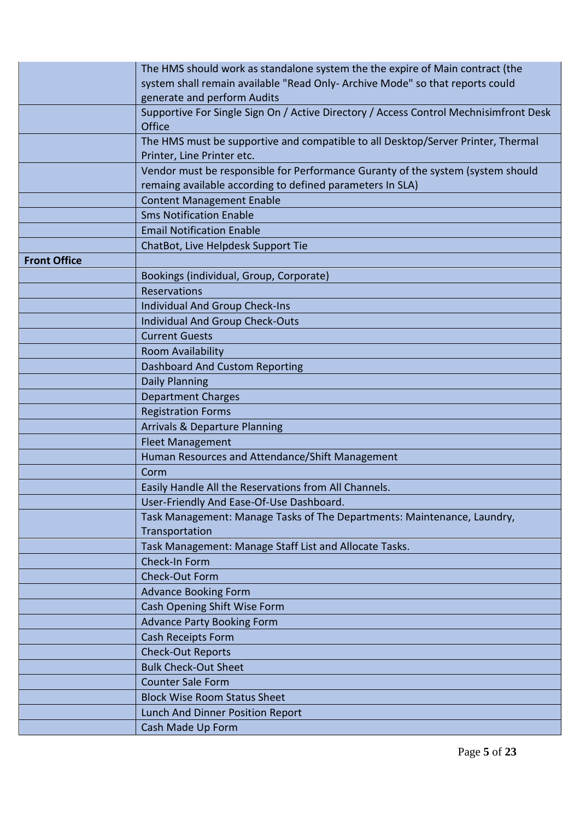| system shall remain available "Read Only- Archive Mode" so that reports could<br>generate and perform Audits<br>Supportive For Single Sign On / Active Directory / Access Control Mechnisimfront Desk<br>Office<br>The HMS must be supportive and compatible to all Desktop/Server Printer, Thermal<br>Printer, Line Printer etc.<br>Vendor must be responsible for Performance Guranty of the system (system should<br>remaing available according to defined parameters In SLA)<br><b>Content Management Enable</b><br><b>Sms Notification Enable</b><br><b>Email Notification Enable</b><br>ChatBot, Live Helpdesk Support Tie<br><b>Front Office</b><br>Bookings (individual, Group, Corporate)<br>Reservations<br>Individual And Group Check-Ins<br><b>Individual And Group Check-Outs</b><br><b>Current Guests</b><br>Room Availability<br><b>Dashboard And Custom Reporting</b><br>Daily Planning<br><b>Department Charges</b><br><b>Registration Forms</b><br><b>Arrivals &amp; Departure Planning</b><br><b>Fleet Management</b><br>Human Resources and Attendance/Shift Management<br>Corm<br>Easily Handle All the Reservations from All Channels.<br>User-Friendly And Ease-Of-Use Dashboard.<br>Task Management: Manage Tasks of The Departments: Maintenance, Laundry,<br>Transportation |
|--------------------------------------------------------------------------------------------------------------------------------------------------------------------------------------------------------------------------------------------------------------------------------------------------------------------------------------------------------------------------------------------------------------------------------------------------------------------------------------------------------------------------------------------------------------------------------------------------------------------------------------------------------------------------------------------------------------------------------------------------------------------------------------------------------------------------------------------------------------------------------------------------------------------------------------------------------------------------------------------------------------------------------------------------------------------------------------------------------------------------------------------------------------------------------------------------------------------------------------------------------------------------------------------------------|
|                                                                                                                                                                                                                                                                                                                                                                                                                                                                                                                                                                                                                                                                                                                                                                                                                                                                                                                                                                                                                                                                                                                                                                                                                                                                                                        |
|                                                                                                                                                                                                                                                                                                                                                                                                                                                                                                                                                                                                                                                                                                                                                                                                                                                                                                                                                                                                                                                                                                                                                                                                                                                                                                        |
|                                                                                                                                                                                                                                                                                                                                                                                                                                                                                                                                                                                                                                                                                                                                                                                                                                                                                                                                                                                                                                                                                                                                                                                                                                                                                                        |
|                                                                                                                                                                                                                                                                                                                                                                                                                                                                                                                                                                                                                                                                                                                                                                                                                                                                                                                                                                                                                                                                                                                                                                                                                                                                                                        |
|                                                                                                                                                                                                                                                                                                                                                                                                                                                                                                                                                                                                                                                                                                                                                                                                                                                                                                                                                                                                                                                                                                                                                                                                                                                                                                        |
|                                                                                                                                                                                                                                                                                                                                                                                                                                                                                                                                                                                                                                                                                                                                                                                                                                                                                                                                                                                                                                                                                                                                                                                                                                                                                                        |
|                                                                                                                                                                                                                                                                                                                                                                                                                                                                                                                                                                                                                                                                                                                                                                                                                                                                                                                                                                                                                                                                                                                                                                                                                                                                                                        |
|                                                                                                                                                                                                                                                                                                                                                                                                                                                                                                                                                                                                                                                                                                                                                                                                                                                                                                                                                                                                                                                                                                                                                                                                                                                                                                        |
|                                                                                                                                                                                                                                                                                                                                                                                                                                                                                                                                                                                                                                                                                                                                                                                                                                                                                                                                                                                                                                                                                                                                                                                                                                                                                                        |
|                                                                                                                                                                                                                                                                                                                                                                                                                                                                                                                                                                                                                                                                                                                                                                                                                                                                                                                                                                                                                                                                                                                                                                                                                                                                                                        |
|                                                                                                                                                                                                                                                                                                                                                                                                                                                                                                                                                                                                                                                                                                                                                                                                                                                                                                                                                                                                                                                                                                                                                                                                                                                                                                        |
|                                                                                                                                                                                                                                                                                                                                                                                                                                                                                                                                                                                                                                                                                                                                                                                                                                                                                                                                                                                                                                                                                                                                                                                                                                                                                                        |
|                                                                                                                                                                                                                                                                                                                                                                                                                                                                                                                                                                                                                                                                                                                                                                                                                                                                                                                                                                                                                                                                                                                                                                                                                                                                                                        |
|                                                                                                                                                                                                                                                                                                                                                                                                                                                                                                                                                                                                                                                                                                                                                                                                                                                                                                                                                                                                                                                                                                                                                                                                                                                                                                        |
|                                                                                                                                                                                                                                                                                                                                                                                                                                                                                                                                                                                                                                                                                                                                                                                                                                                                                                                                                                                                                                                                                                                                                                                                                                                                                                        |
|                                                                                                                                                                                                                                                                                                                                                                                                                                                                                                                                                                                                                                                                                                                                                                                                                                                                                                                                                                                                                                                                                                                                                                                                                                                                                                        |
|                                                                                                                                                                                                                                                                                                                                                                                                                                                                                                                                                                                                                                                                                                                                                                                                                                                                                                                                                                                                                                                                                                                                                                                                                                                                                                        |
|                                                                                                                                                                                                                                                                                                                                                                                                                                                                                                                                                                                                                                                                                                                                                                                                                                                                                                                                                                                                                                                                                                                                                                                                                                                                                                        |
|                                                                                                                                                                                                                                                                                                                                                                                                                                                                                                                                                                                                                                                                                                                                                                                                                                                                                                                                                                                                                                                                                                                                                                                                                                                                                                        |
|                                                                                                                                                                                                                                                                                                                                                                                                                                                                                                                                                                                                                                                                                                                                                                                                                                                                                                                                                                                                                                                                                                                                                                                                                                                                                                        |
|                                                                                                                                                                                                                                                                                                                                                                                                                                                                                                                                                                                                                                                                                                                                                                                                                                                                                                                                                                                                                                                                                                                                                                                                                                                                                                        |
|                                                                                                                                                                                                                                                                                                                                                                                                                                                                                                                                                                                                                                                                                                                                                                                                                                                                                                                                                                                                                                                                                                                                                                                                                                                                                                        |
|                                                                                                                                                                                                                                                                                                                                                                                                                                                                                                                                                                                                                                                                                                                                                                                                                                                                                                                                                                                                                                                                                                                                                                                                                                                                                                        |
|                                                                                                                                                                                                                                                                                                                                                                                                                                                                                                                                                                                                                                                                                                                                                                                                                                                                                                                                                                                                                                                                                                                                                                                                                                                                                                        |
|                                                                                                                                                                                                                                                                                                                                                                                                                                                                                                                                                                                                                                                                                                                                                                                                                                                                                                                                                                                                                                                                                                                                                                                                                                                                                                        |
|                                                                                                                                                                                                                                                                                                                                                                                                                                                                                                                                                                                                                                                                                                                                                                                                                                                                                                                                                                                                                                                                                                                                                                                                                                                                                                        |
|                                                                                                                                                                                                                                                                                                                                                                                                                                                                                                                                                                                                                                                                                                                                                                                                                                                                                                                                                                                                                                                                                                                                                                                                                                                                                                        |
|                                                                                                                                                                                                                                                                                                                                                                                                                                                                                                                                                                                                                                                                                                                                                                                                                                                                                                                                                                                                                                                                                                                                                                                                                                                                                                        |
|                                                                                                                                                                                                                                                                                                                                                                                                                                                                                                                                                                                                                                                                                                                                                                                                                                                                                                                                                                                                                                                                                                                                                                                                                                                                                                        |
|                                                                                                                                                                                                                                                                                                                                                                                                                                                                                                                                                                                                                                                                                                                                                                                                                                                                                                                                                                                                                                                                                                                                                                                                                                                                                                        |
|                                                                                                                                                                                                                                                                                                                                                                                                                                                                                                                                                                                                                                                                                                                                                                                                                                                                                                                                                                                                                                                                                                                                                                                                                                                                                                        |
| Task Management: Manage Staff List and Allocate Tasks.                                                                                                                                                                                                                                                                                                                                                                                                                                                                                                                                                                                                                                                                                                                                                                                                                                                                                                                                                                                                                                                                                                                                                                                                                                                 |
| Check-In Form                                                                                                                                                                                                                                                                                                                                                                                                                                                                                                                                                                                                                                                                                                                                                                                                                                                                                                                                                                                                                                                                                                                                                                                                                                                                                          |
| Check-Out Form                                                                                                                                                                                                                                                                                                                                                                                                                                                                                                                                                                                                                                                                                                                                                                                                                                                                                                                                                                                                                                                                                                                                                                                                                                                                                         |
| <b>Advance Booking Form</b>                                                                                                                                                                                                                                                                                                                                                                                                                                                                                                                                                                                                                                                                                                                                                                                                                                                                                                                                                                                                                                                                                                                                                                                                                                                                            |
| Cash Opening Shift Wise Form                                                                                                                                                                                                                                                                                                                                                                                                                                                                                                                                                                                                                                                                                                                                                                                                                                                                                                                                                                                                                                                                                                                                                                                                                                                                           |
| <b>Advance Party Booking Form</b>                                                                                                                                                                                                                                                                                                                                                                                                                                                                                                                                                                                                                                                                                                                                                                                                                                                                                                                                                                                                                                                                                                                                                                                                                                                                      |
| Cash Receipts Form                                                                                                                                                                                                                                                                                                                                                                                                                                                                                                                                                                                                                                                                                                                                                                                                                                                                                                                                                                                                                                                                                                                                                                                                                                                                                     |
| <b>Check-Out Reports</b>                                                                                                                                                                                                                                                                                                                                                                                                                                                                                                                                                                                                                                                                                                                                                                                                                                                                                                                                                                                                                                                                                                                                                                                                                                                                               |
| <b>Bulk Check-Out Sheet</b>                                                                                                                                                                                                                                                                                                                                                                                                                                                                                                                                                                                                                                                                                                                                                                                                                                                                                                                                                                                                                                                                                                                                                                                                                                                                            |
| <b>Counter Sale Form</b>                                                                                                                                                                                                                                                                                                                                                                                                                                                                                                                                                                                                                                                                                                                                                                                                                                                                                                                                                                                                                                                                                                                                                                                                                                                                               |
| <b>Block Wise Room Status Sheet</b>                                                                                                                                                                                                                                                                                                                                                                                                                                                                                                                                                                                                                                                                                                                                                                                                                                                                                                                                                                                                                                                                                                                                                                                                                                                                    |
| Lunch And Dinner Position Report                                                                                                                                                                                                                                                                                                                                                                                                                                                                                                                                                                                                                                                                                                                                                                                                                                                                                                                                                                                                                                                                                                                                                                                                                                                                       |
| Cash Made Up Form                                                                                                                                                                                                                                                                                                                                                                                                                                                                                                                                                                                                                                                                                                                                                                                                                                                                                                                                                                                                                                                                                                                                                                                                                                                                                      |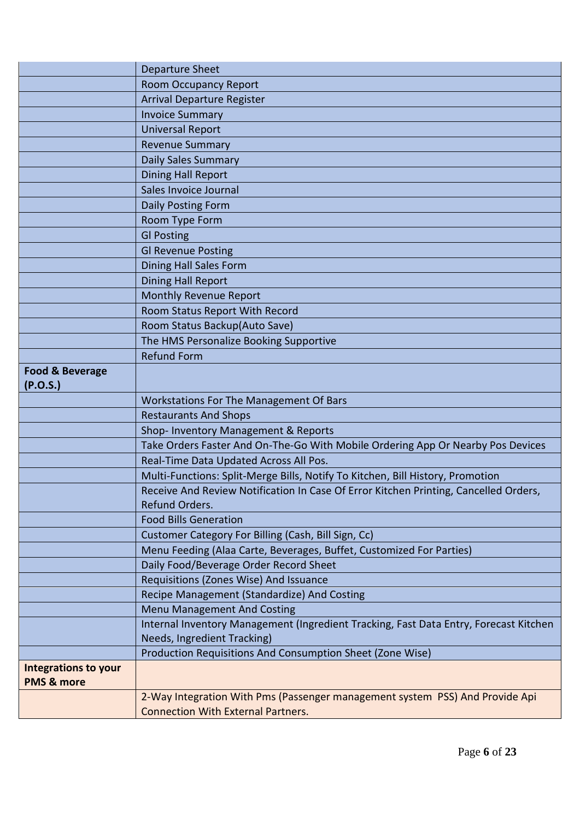|                                        | Departure Sheet                                                                                        |
|----------------------------------------|--------------------------------------------------------------------------------------------------------|
|                                        | <b>Room Occupancy Report</b>                                                                           |
|                                        | <b>Arrival Departure Register</b>                                                                      |
|                                        | <b>Invoice Summary</b>                                                                                 |
|                                        | <b>Universal Report</b>                                                                                |
|                                        | <b>Revenue Summary</b>                                                                                 |
|                                        | <b>Daily Sales Summary</b>                                                                             |
|                                        | <b>Dining Hall Report</b>                                                                              |
|                                        | Sales Invoice Journal                                                                                  |
|                                        | Daily Posting Form                                                                                     |
|                                        | Room Type Form                                                                                         |
|                                        | <b>GI Posting</b>                                                                                      |
|                                        | <b>Gl Revenue Posting</b>                                                                              |
|                                        | Dining Hall Sales Form                                                                                 |
|                                        | <b>Dining Hall Report</b>                                                                              |
|                                        | Monthly Revenue Report                                                                                 |
|                                        | Room Status Report With Record                                                                         |
|                                        | Room Status Backup(Auto Save)                                                                          |
|                                        | The HMS Personalize Booking Supportive                                                                 |
|                                        | <b>Refund Form</b>                                                                                     |
| <b>Food &amp; Beverage</b><br>(P.O.S.) |                                                                                                        |
|                                        | Workstations For The Management Of Bars                                                                |
|                                        | <b>Restaurants And Shops</b>                                                                           |
|                                        | Shop- Inventory Management & Reports                                                                   |
|                                        | Take Orders Faster And On-The-Go With Mobile Ordering App Or Nearby Pos Devices                        |
|                                        | Real-Time Data Updated Across All Pos.                                                                 |
|                                        | Multi-Functions: Split-Merge Bills, Notify To Kitchen, Bill History, Promotion                         |
|                                        | Receive And Review Notification In Case Of Error Kitchen Printing, Cancelled Orders,<br>Refund Orders. |
|                                        | <b>Food Bills Generation</b>                                                                           |
|                                        | Customer Category For Billing (Cash, Bill Sign, Cc)                                                    |
|                                        | Menu Feeding (Alaa Carte, Beverages, Buffet, Customized For Parties)                                   |
|                                        | Daily Food/Beverage Order Record Sheet                                                                 |
|                                        | Requisitions (Zones Wise) And Issuance                                                                 |
|                                        | Recipe Management (Standardize) And Costing                                                            |
|                                        | <b>Menu Management And Costing</b>                                                                     |
|                                        | Internal Inventory Management (Ingredient Tracking, Fast Data Entry, Forecast Kitchen                  |
|                                        | Needs, Ingredient Tracking)                                                                            |
|                                        | Production Requisitions And Consumption Sheet (Zone Wise)                                              |
| <b>Integrations to your</b>            |                                                                                                        |
| <b>PMS &amp; more</b>                  |                                                                                                        |
|                                        | 2-Way Integration With Pms (Passenger management system PSS) And Provide Api                           |
|                                        | <b>Connection With External Partners.</b>                                                              |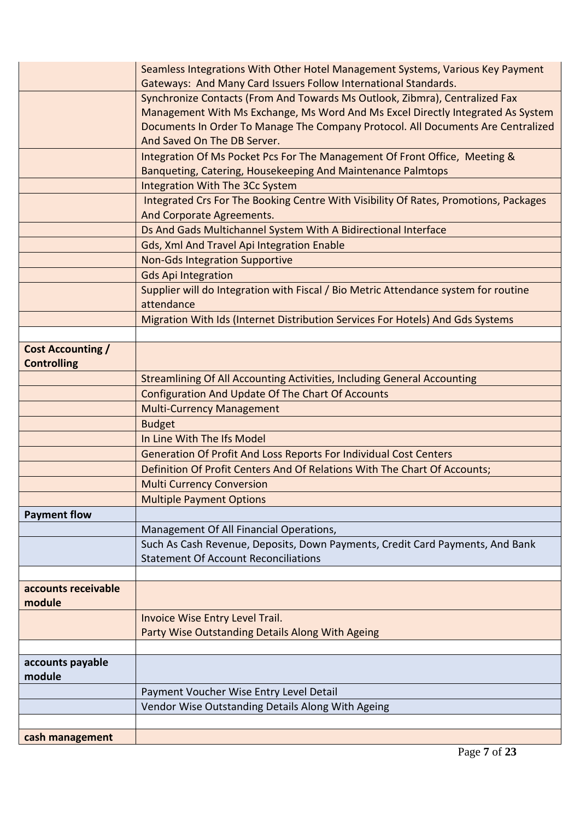| cash management          |                                                                                                   |
|--------------------------|---------------------------------------------------------------------------------------------------|
|                          | Vendor Wise Outstanding Details Along With Ageing                                                 |
|                          | Payment Voucher Wise Entry Level Detail                                                           |
| module                   |                                                                                                   |
| accounts payable         |                                                                                                   |
|                          |                                                                                                   |
|                          | Invoice Wise Entry Level Trail.<br>Party Wise Outstanding Details Along With Ageing               |
| module                   |                                                                                                   |
| accounts receivable      |                                                                                                   |
|                          |                                                                                                   |
|                          | <b>Statement Of Account Reconciliations</b>                                                       |
|                          | Such As Cash Revenue, Deposits, Down Payments, Credit Card Payments, And Bank                     |
|                          | Management Of All Financial Operations,                                                           |
| <b>Payment flow</b>      |                                                                                                   |
|                          | <b>Multiple Payment Options</b>                                                                   |
|                          | <b>Multi Currency Conversion</b>                                                                  |
|                          | Definition Of Profit Centers And Of Relations With The Chart Of Accounts;                         |
|                          | Generation Of Profit And Loss Reports For Individual Cost Centers                                 |
|                          | In Line With The Ifs Model                                                                        |
|                          | <b>Budget</b>                                                                                     |
|                          | <b>Multi-Currency Management</b>                                                                  |
|                          | <b>Configuration And Update Of The Chart Of Accounts</b>                                          |
|                          | <b>Streamlining Of All Accounting Activities, Including General Accounting</b>                    |
| <b>Controlling</b>       |                                                                                                   |
| <b>Cost Accounting /</b> |                                                                                                   |
|                          |                                                                                                   |
|                          | Migration With Ids (Internet Distribution Services For Hotels) And Gds Systems                    |
|                          | Supplier will do Integration with Fiscal / Bio Metric Attendance system for routine<br>attendance |
|                          | <b>Gds Api Integration</b>                                                                        |
|                          | <b>Non-Gds Integration Supportive</b>                                                             |
|                          | Gds, Xml And Travel Api Integration Enable                                                        |
|                          | Ds And Gads Multichannel System With A Bidirectional Interface                                    |
|                          | And Corporate Agreements.                                                                         |
|                          | Integrated Crs For The Booking Centre With Visibility Of Rates, Promotions, Packages              |
|                          | <b>Integration With The 3Cc System</b>                                                            |
|                          | Banqueting, Catering, Housekeeping And Maintenance Palmtops                                       |
|                          | Integration Of Ms Pocket Pcs For The Management Of Front Office, Meeting &                        |
|                          | And Saved On The DB Server.                                                                       |
|                          | Documents In Order To Manage The Company Protocol. All Documents Are Centralized                  |
|                          | Management With Ms Exchange, Ms Word And Ms Excel Directly Integrated As System                   |
|                          | Synchronize Contacts (From And Towards Ms Outlook, Zibmra), Centralized Fax                       |
|                          | Gateways: And Many Card Issuers Follow International Standards.                                   |
|                          | Seamless Integrations With Other Hotel Management Systems, Various Key Payment                    |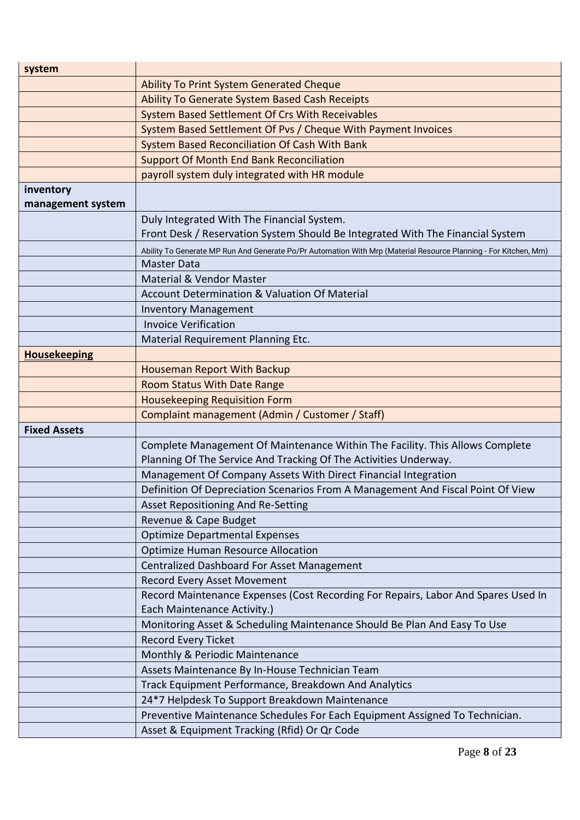| system                         |                                                                                                                  |  |
|--------------------------------|------------------------------------------------------------------------------------------------------------------|--|
|                                | <b>Ability To Print System Generated Cheque</b>                                                                  |  |
|                                | Ability To Generate System Based Cash Receipts                                                                   |  |
|                                | System Based Settlement Of Crs With Receivables                                                                  |  |
|                                | System Based Settlement Of Pvs / Cheque With Payment Invoices                                                    |  |
|                                | System Based Reconciliation Of Cash With Bank                                                                    |  |
|                                | <b>Support Of Month End Bank Reconciliation</b>                                                                  |  |
|                                | payroll system duly integrated with HR module                                                                    |  |
| inventory<br>management system |                                                                                                                  |  |
|                                | Duly Integrated With The Financial System.                                                                       |  |
|                                | Front Desk / Reservation System Should Be Integrated With The Financial System                                   |  |
|                                | Ability To Generate MP Run And Generate Po/Pr Automation With Mrp (Material Resource Planning - For Kitchen, Mm) |  |
|                                | <b>Master Data</b>                                                                                               |  |
|                                | Material & Vendor Master                                                                                         |  |
|                                | Account Determination & Valuation Of Material                                                                    |  |
|                                | <b>Inventory Management</b>                                                                                      |  |
|                                | <b>Invoice Verification</b>                                                                                      |  |
|                                | Material Requirement Planning Etc.                                                                               |  |
| <b>Housekeeping</b>            |                                                                                                                  |  |
|                                | Houseman Report With Backup                                                                                      |  |
|                                | Room Status With Date Range                                                                                      |  |
|                                | <b>Housekeeping Requisition Form</b>                                                                             |  |
|                                | Complaint management (Admin / Customer / Staff)                                                                  |  |
| <b>Fixed Assets</b>            |                                                                                                                  |  |
|                                | Complete Management Of Maintenance Within The Facility. This Allows Complete                                     |  |
|                                | Planning Of The Service And Tracking Of The Activities Underway.                                                 |  |
|                                | Management Of Company Assets With Direct Financial Integration                                                   |  |
|                                | Definition Of Depreciation Scenarios From A Management And Fiscal Point Of View                                  |  |
|                                | Asset Repositioning And Re-Setting                                                                               |  |
|                                | Revenue & Cape Budget                                                                                            |  |
|                                | <b>Optimize Departmental Expenses</b>                                                                            |  |
|                                | <b>Optimize Human Resource Allocation</b>                                                                        |  |
|                                | Centralized Dashboard For Asset Management                                                                       |  |
|                                | Record Every Asset Movement                                                                                      |  |
|                                | Record Maintenance Expenses (Cost Recording For Repairs, Labor And Spares Used In                                |  |
|                                | Each Maintenance Activity.)                                                                                      |  |
|                                | Monitoring Asset & Scheduling Maintenance Should Be Plan And Easy To Use                                         |  |
|                                | Record Every Ticket                                                                                              |  |
|                                | Monthly & Periodic Maintenance                                                                                   |  |
|                                | Assets Maintenance By In-House Technician Team                                                                   |  |
|                                | Track Equipment Performance, Breakdown And Analytics                                                             |  |
|                                | 24*7 Helpdesk To Support Breakdown Maintenance                                                                   |  |
|                                | Preventive Maintenance Schedules For Each Equipment Assigned To Technician.                                      |  |
|                                | Asset & Equipment Tracking (Rfid) Or Qr Code                                                                     |  |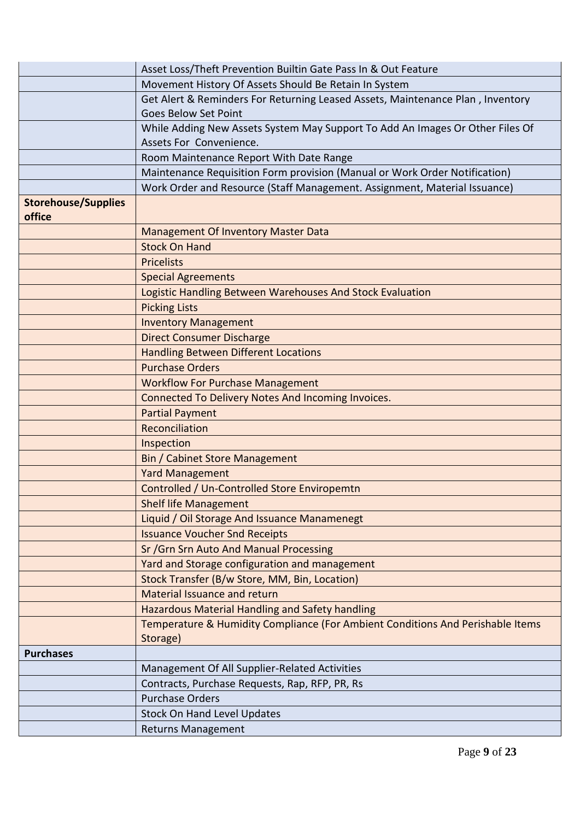|                                      | Asset Loss/Theft Prevention Builtin Gate Pass In & Out Feature                    |  |  |
|--------------------------------------|-----------------------------------------------------------------------------------|--|--|
|                                      | Movement History Of Assets Should Be Retain In System                             |  |  |
|                                      | Get Alert & Reminders For Returning Leased Assets, Maintenance Plan, Inventory    |  |  |
|                                      | <b>Goes Below Set Point</b>                                                       |  |  |
|                                      | While Adding New Assets System May Support To Add An Images Or Other Files Of     |  |  |
|                                      | Assets For Convenience.                                                           |  |  |
|                                      | Room Maintenance Report With Date Range                                           |  |  |
|                                      | Maintenance Requisition Form provision (Manual or Work Order Notification)        |  |  |
|                                      | Work Order and Resource (Staff Management. Assignment, Material Issuance)         |  |  |
| <b>Storehouse/Supplies</b><br>office |                                                                                   |  |  |
|                                      |                                                                                   |  |  |
|                                      | <b>Management Of Inventory Master Data</b><br><b>Stock On Hand</b>                |  |  |
|                                      | <b>Pricelists</b>                                                                 |  |  |
|                                      | <b>Special Agreements</b>                                                         |  |  |
|                                      |                                                                                   |  |  |
|                                      | Logistic Handling Between Warehouses And Stock Evaluation<br><b>Picking Lists</b> |  |  |
|                                      | <b>Inventory Management</b>                                                       |  |  |
|                                      | <b>Direct Consumer Discharge</b>                                                  |  |  |
|                                      | <b>Handling Between Different Locations</b>                                       |  |  |
|                                      | <b>Purchase Orders</b>                                                            |  |  |
|                                      | <b>Workflow For Purchase Management</b>                                           |  |  |
|                                      | Connected To Delivery Notes And Incoming Invoices.                                |  |  |
|                                      | <b>Partial Payment</b>                                                            |  |  |
|                                      | Reconciliation                                                                    |  |  |
|                                      | Inspection                                                                        |  |  |
|                                      | <b>Bin / Cabinet Store Management</b>                                             |  |  |
|                                      | <b>Yard Management</b>                                                            |  |  |
|                                      | Controlled / Un-Controlled Store Enviropemtn                                      |  |  |
|                                      | <b>Shelf life Management</b>                                                      |  |  |
|                                      | Liquid / Oil Storage And Issuance Manamenegt                                      |  |  |
|                                      | <b>Issuance Voucher Snd Receipts</b>                                              |  |  |
|                                      | Sr / Grn Srn Auto And Manual Processing                                           |  |  |
|                                      | Yard and Storage configuration and management                                     |  |  |
|                                      | Stock Transfer (B/w Store, MM, Bin, Location)                                     |  |  |
|                                      | Material Issuance and return                                                      |  |  |
|                                      | Hazardous Material Handling and Safety handling                                   |  |  |
|                                      | Temperature & Humidity Compliance (For Ambient Conditions And Perishable Items    |  |  |
|                                      | Storage)                                                                          |  |  |
| <b>Purchases</b>                     |                                                                                   |  |  |
|                                      | Management Of All Supplier-Related Activities                                     |  |  |
|                                      | Contracts, Purchase Requests, Rap, RFP, PR, Rs                                    |  |  |
|                                      | <b>Purchase Orders</b>                                                            |  |  |
|                                      | <b>Stock On Hand Level Updates</b>                                                |  |  |
|                                      | <b>Returns Management</b>                                                         |  |  |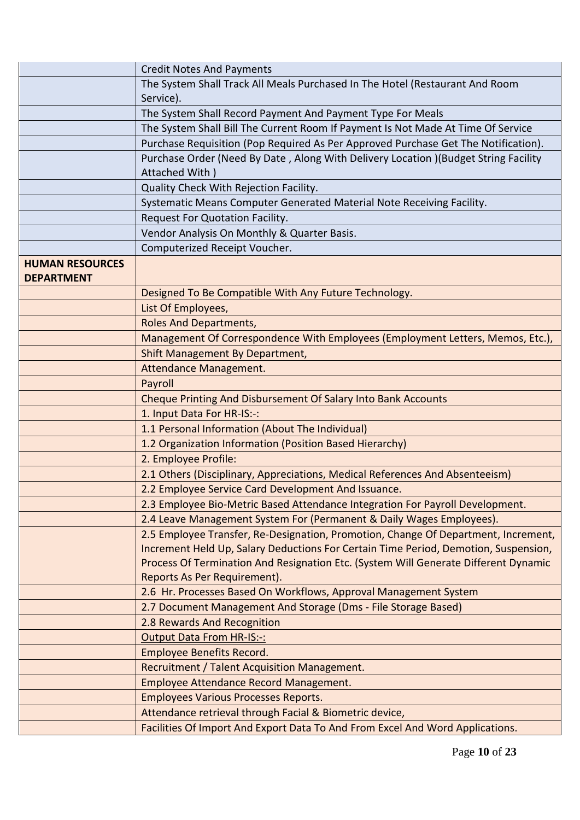|                        | <b>Credit Notes And Payments</b>                                                    |
|------------------------|-------------------------------------------------------------------------------------|
|                        | The System Shall Track All Meals Purchased In The Hotel (Restaurant And Room        |
|                        | Service).                                                                           |
|                        | The System Shall Record Payment And Payment Type For Meals                          |
|                        | The System Shall Bill The Current Room If Payment Is Not Made At Time Of Service    |
|                        | Purchase Requisition (Pop Required As Per Approved Purchase Get The Notification).  |
|                        | Purchase Order (Need By Date, Along With Delivery Location )(Budget String Facility |
|                        | Attached With)                                                                      |
|                        | Quality Check With Rejection Facility.                                              |
|                        | Systematic Means Computer Generated Material Note Receiving Facility.               |
|                        | Request For Quotation Facility.                                                     |
|                        | Vendor Analysis On Monthly & Quarter Basis.                                         |
|                        | Computerized Receipt Voucher.                                                       |
| <b>HUMAN RESOURCES</b> |                                                                                     |
| <b>DEPARTMENT</b>      |                                                                                     |
|                        | Designed To Be Compatible With Any Future Technology.                               |
|                        | List Of Employees,                                                                  |
|                        | <b>Roles And Departments,</b>                                                       |
|                        | Management Of Correspondence With Employees (Employment Letters, Memos, Etc.),      |
|                        | Shift Management By Department,                                                     |
|                        | Attendance Management.                                                              |
|                        | Payroll                                                                             |
|                        | Cheque Printing And Disbursement Of Salary Into Bank Accounts                       |
|                        | 1. Input Data For HR-IS:-:                                                          |
|                        | 1.1 Personal Information (About The Individual)                                     |
|                        | 1.2 Organization Information (Position Based Hierarchy)                             |
|                        | 2. Employee Profile:                                                                |
|                        | 2.1 Others (Disciplinary, Appreciations, Medical References And Absenteeism)        |
|                        | 2.2 Employee Service Card Development And Issuance.                                 |
|                        | 2.3 Employee Bio-Metric Based Attendance Integration For Payroll Development.       |
|                        | 2.4 Leave Management System For (Permanent & Daily Wages Employees).                |
|                        | 2.5 Employee Transfer, Re-Designation, Promotion, Change Of Department, Increment,  |
|                        | Increment Held Up, Salary Deductions For Certain Time Period, Demotion, Suspension, |
|                        | Process Of Termination And Resignation Etc. (System Will Generate Different Dynamic |
|                        | Reports As Per Requirement).                                                        |
|                        | 2.6 Hr. Processes Based On Workflows, Approval Management System                    |
|                        | 2.7 Document Management And Storage (Dms - File Storage Based)                      |
|                        | 2.8 Rewards And Recognition                                                         |
|                        | <b>Output Data From HR-IS:-:</b>                                                    |
|                        | <b>Employee Benefits Record.</b>                                                    |
|                        | Recruitment / Talent Acquisition Management.                                        |
|                        | Employee Attendance Record Management.                                              |
|                        | <b>Employees Various Processes Reports.</b>                                         |
|                        | Attendance retrieval through Facial & Biometric device,                             |
|                        | Facilities Of Import And Export Data To And From Excel And Word Applications.       |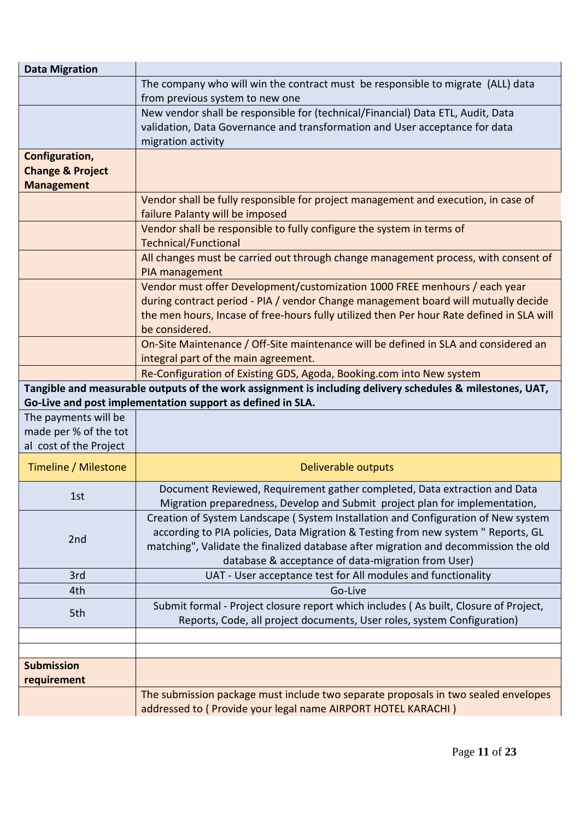| <b>Data Migration</b>       |                                                                                                           |  |  |
|-----------------------------|-----------------------------------------------------------------------------------------------------------|--|--|
|                             | The company who will win the contract must be responsible to migrate (ALL) data                           |  |  |
|                             | from previous system to new one                                                                           |  |  |
|                             | New vendor shall be responsible for (technical/Financial) Data ETL, Audit, Data                           |  |  |
|                             | validation, Data Governance and transformation and User acceptance for data                               |  |  |
|                             | migration activity                                                                                        |  |  |
| Configuration,              |                                                                                                           |  |  |
| <b>Change &amp; Project</b> |                                                                                                           |  |  |
| <b>Management</b>           |                                                                                                           |  |  |
|                             | Vendor shall be fully responsible for project management and execution, in case of                        |  |  |
|                             | failure Palanty will be imposed                                                                           |  |  |
|                             | Vendor shall be responsible to fully configure the system in terms of                                     |  |  |
|                             | <b>Technical/Functional</b>                                                                               |  |  |
|                             | All changes must be carried out through change management process, with consent of                        |  |  |
|                             | PIA management                                                                                            |  |  |
|                             | Vendor must offer Development/customization 1000 FREE menhours / each year                                |  |  |
|                             | during contract period - PIA / vendor Change management board will mutually decide                        |  |  |
|                             | the men hours, Incase of free-hours fully utilized then Per hour Rate defined in SLA will                 |  |  |
|                             | be considered.                                                                                            |  |  |
|                             | On-Site Maintenance / Off-Site maintenance will be defined in SLA and considered an                       |  |  |
|                             | integral part of the main agreement.                                                                      |  |  |
|                             | Re-Configuration of Existing GDS, Agoda, Booking.com into New system                                      |  |  |
|                             | Tangible and measurable outputs of the work assignment is including delivery schedules & milestones, UAT, |  |  |
|                             | Go-Live and post implementation support as defined in SLA.                                                |  |  |
| The payments will be        |                                                                                                           |  |  |
| made per % of the tot       |                                                                                                           |  |  |
| al cost of the Project      |                                                                                                           |  |  |
| Timeline / Milestone        | Deliverable outputs                                                                                       |  |  |
|                             | Document Reviewed, Requirement gather completed, Data extraction and Data                                 |  |  |
| 1st.                        | Migration preparedness, Develop and Submit project plan for implementation,                               |  |  |
|                             | Creation of System Landscape (System Installation and Configuration of New system                         |  |  |
| 2nd                         | according to PIA policies, Data Migration & Testing from new system " Reports, GL                         |  |  |
|                             | matching", Validate the finalized database after migration and decommission the old                       |  |  |
|                             | database & acceptance of data-migration from User)                                                        |  |  |
| 3rd                         | UAT - User acceptance test for All modules and functionality                                              |  |  |
| 4th                         | Go-Live                                                                                                   |  |  |
|                             | Submit formal - Project closure report which includes (As built, Closure of Project,                      |  |  |
| 5th                         | Reports, Code, all project documents, User roles, system Configuration)                                   |  |  |
|                             |                                                                                                           |  |  |
|                             |                                                                                                           |  |  |
|                             |                                                                                                           |  |  |
| <b>Submission</b>           |                                                                                                           |  |  |
| requirement                 |                                                                                                           |  |  |
|                             | The submission package must include two separate proposals in two sealed envelopes                        |  |  |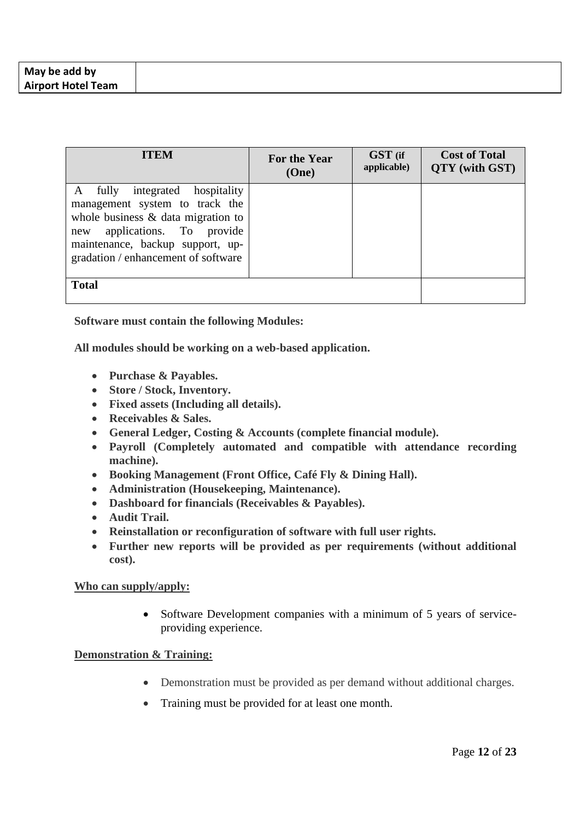| <b>ITEM</b>                                                                                                                                                                                                                   | For the Year<br>(One) | GST (if<br>applicable) | <b>Cost of Total</b><br>QTY (with GST) |
|-------------------------------------------------------------------------------------------------------------------------------------------------------------------------------------------------------------------------------|-----------------------|------------------------|----------------------------------------|
| fully<br>integrated hospitality<br>A<br>management system to track the<br>whole business $\&$ data migration to<br>applications. To provide<br>new<br>maintenance, backup support, up-<br>gradation / enhancement of software |                       |                        |                                        |
| <b>Total</b>                                                                                                                                                                                                                  |                       |                        |                                        |

**Software must contain the following Modules:**

**All modules should be working on a web-based application.**

- **Purchase & Payables.**
- **Store / Stock, Inventory.**
- **Fixed assets (Including all details).**
- **Receivables & Sales.**
- **General Ledger, Costing & Accounts (complete financial module).**
- **Payroll (Completely automated and compatible with attendance recording machine).**
- **Booking Management (Front Office, Café Fly & Dining Hall).**
- **Administration (Housekeeping, Maintenance).**
- **Dashboard for financials (Receivables & Payables).**
- **Audit Trail.**
- **Reinstallation or reconfiguration of software with full user rights.**
- **Further new reports will be provided as per requirements (without additional cost).**

### **Who can supply/apply:**

• Software Development companies with a minimum of 5 years of serviceproviding experience.

# **Demonstration & Training:**

- Demonstration must be provided as per demand without additional charges.
- Training must be provided for at least one month.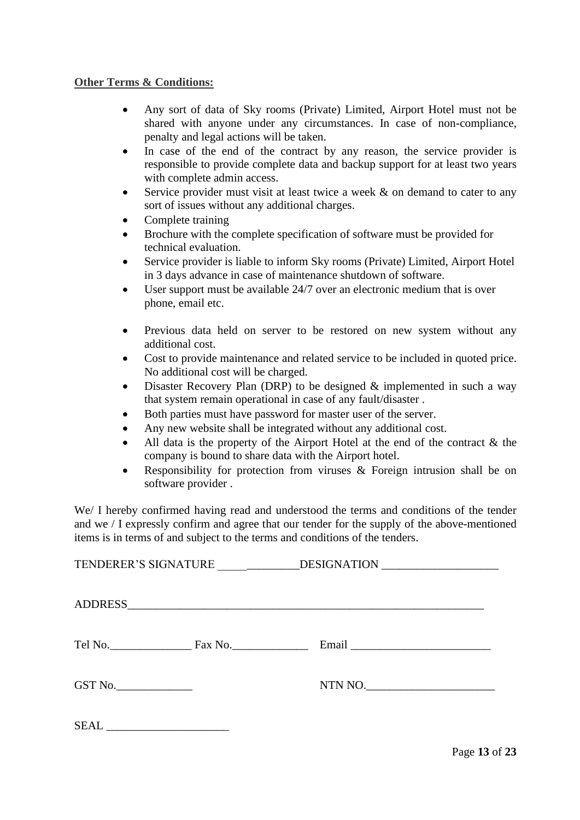# **Other Terms & Conditions:**

- Any sort of data of Sky rooms (Private) Limited, Airport Hotel must not be shared with anyone under any circumstances. In case of non-compliance, penalty and legal actions will be taken.
- In case of the end of the contract by any reason, the service provider is responsible to provide complete data and backup support for at least two years with complete admin access.
- Service provider must visit at least twice a week & on demand to cater to any sort of issues without any additional charges.
- Complete training
- Brochure with the complete specification of software must be provided for technical evaluation.
- Service provider is liable to inform Sky rooms (Private) Limited, Airport Hotel in 3 days advance in case of maintenance shutdown of software.
- User support must be available 24/7 over an electronic medium that is over phone, email etc.
- Previous data held on server to be restored on new system without any additional cost.
- Cost to provide maintenance and related service to be included in quoted price. No additional cost will be charged.
- Disaster Recovery Plan (DRP) to be designed  $\&$  implemented in such a way that system remain operational in case of any fault/disaster .
- Both parties must have password for master user of the server.
- Any new website shall be integrated without any additional cost.
- All data is the property of the Airport Hotel at the end of the contract  $\&$  the company is bound to share data with the Airport hotel.
- Responsibility for protection from viruses  $\&$  Foreign intrusion shall be on software provider .

We/ I hereby confirmed having read and understood the terms and conditions of the tender and we / I expressly confirm and agree that our tender for the supply of the above-mentioned items is in terms of and subject to the terms and conditions of the tenders.

|      |         | TENDERER'S SIGNATURE _____________DESIGNATION __________________________________ |  |
|------|---------|----------------------------------------------------------------------------------|--|
|      |         |                                                                                  |  |
|      |         |                                                                                  |  |
|      | GST No. | NTN NO.                                                                          |  |
| SEAL |         |                                                                                  |  |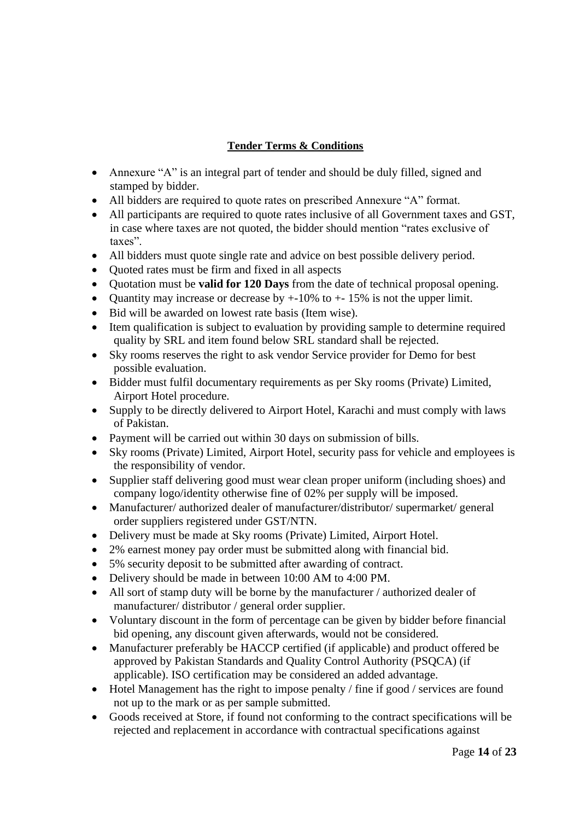# **Tender Terms & Conditions**

- Annexure "A" is an integral part of tender and should be duly filled, signed and stamped by bidder.
- All bidders are required to quote rates on prescribed Annexure "A" format.
- All participants are required to quote rates inclusive of all Government taxes and GST, in case where taxes are not quoted, the bidder should mention "rates exclusive of taxes".
- All bidders must quote single rate and advice on best possible delivery period.
- Quoted rates must be firm and fixed in all aspects
- Quotation must be **valid for 120 Days** from the date of technical proposal opening.
- Quantity may increase or decrease by  $+10\%$  to  $+15\%$  is not the upper limit.
- Bid will be awarded on lowest rate basis (Item wise).
- Item qualification is subject to evaluation by providing sample to determine required quality by SRL and item found below SRL standard shall be rejected.
- Sky rooms reserves the right to ask vendor Service provider for Demo for best possible evaluation.
- Bidder must fulfil documentary requirements as per Sky rooms (Private) Limited, Airport Hotel procedure.
- Supply to be directly delivered to Airport Hotel, Karachi and must comply with laws of Pakistan.
- Payment will be carried out within 30 days on submission of bills.
- Sky rooms (Private) Limited, Airport Hotel, security pass for vehicle and employees is the responsibility of vendor.
- Supplier staff delivering good must wear clean proper uniform (including shoes) and company logo/identity otherwise fine of 02% per supply will be imposed.
- Manufacturer/ authorized dealer of manufacturer/distributor/ supermarket/ general order suppliers registered under GST/NTN.
- Delivery must be made at Sky rooms (Private) Limited, Airport Hotel.
- 2% earnest money pay order must be submitted along with financial bid.
- 5% security deposit to be submitted after awarding of contract.
- Delivery should be made in between 10:00 AM to 4:00 PM.
- All sort of stamp duty will be borne by the manufacturer / authorized dealer of manufacturer/ distributor / general order supplier.
- Voluntary discount in the form of percentage can be given by bidder before financial bid opening, any discount given afterwards, would not be considered.
- Manufacturer preferably be HACCP certified (if applicable) and product offered be approved by Pakistan Standards and Quality Control Authority (PSQCA) (if applicable). ISO certification may be considered an added advantage.
- Hotel Management has the right to impose penalty / fine if good / services are found not up to the mark or as per sample submitted.
- Goods received at Store, if found not conforming to the contract specifications will be rejected and replacement in accordance with contractual specifications against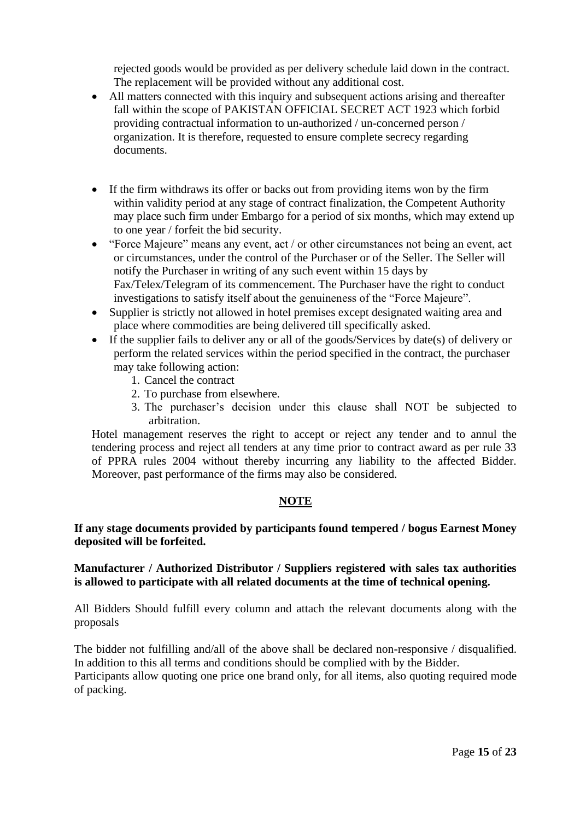rejected goods would be provided as per delivery schedule laid down in the contract. The replacement will be provided without any additional cost.

- All matters connected with this inquiry and subsequent actions arising and thereafter fall within the scope of PAKISTAN OFFICIAL SECRET ACT 1923 which forbid providing contractual information to un-authorized / un-concerned person / organization. It is therefore, requested to ensure complete secrecy regarding documents.
- If the firm withdraws its offer or backs out from providing items won by the firm within validity period at any stage of contract finalization, the Competent Authority may place such firm under Embargo for a period of six months, which may extend up to one year / forfeit the bid security.
- "Force Majeure" means any event, act / or other circumstances not being an event, act or circumstances, under the control of the Purchaser or of the Seller. The Seller will notify the Purchaser in writing of any such event within 15 days by Fax/Telex/Telegram of its commencement. The Purchaser have the right to conduct investigations to satisfy itself about the genuineness of the "Force Majeure".
- Supplier is strictly not allowed in hotel premises except designated waiting area and place where commodities are being delivered till specifically asked.
- If the supplier fails to deliver any or all of the goods/Services by date(s) of delivery or perform the related services within the period specified in the contract, the purchaser may take following action:
	- 1. Cancel the contract
	- 2. To purchase from elsewhere.
	- 3. The purchaser's decision under this clause shall NOT be subjected to arbitration.

Hotel management reserves the right to accept or reject any tender and to annul the tendering process and reject all tenders at any time prior to contract award as per rule 33 of PPRA rules 2004 without thereby incurring any liability to the affected Bidder. Moreover, past performance of the firms may also be considered.

# **NOTE**

# **If any stage documents provided by participants found tempered / bogus Earnest Money deposited will be forfeited.**

# **Manufacturer / Authorized Distributor / Suppliers registered with sales tax authorities is allowed to participate with all related documents at the time of technical opening.**

All Bidders Should fulfill every column and attach the relevant documents along with the proposals

The bidder not fulfilling and/all of the above shall be declared non-responsive / disqualified. In addition to this all terms and conditions should be complied with by the Bidder. Participants allow quoting one price one brand only, for all items, also quoting required mode of packing.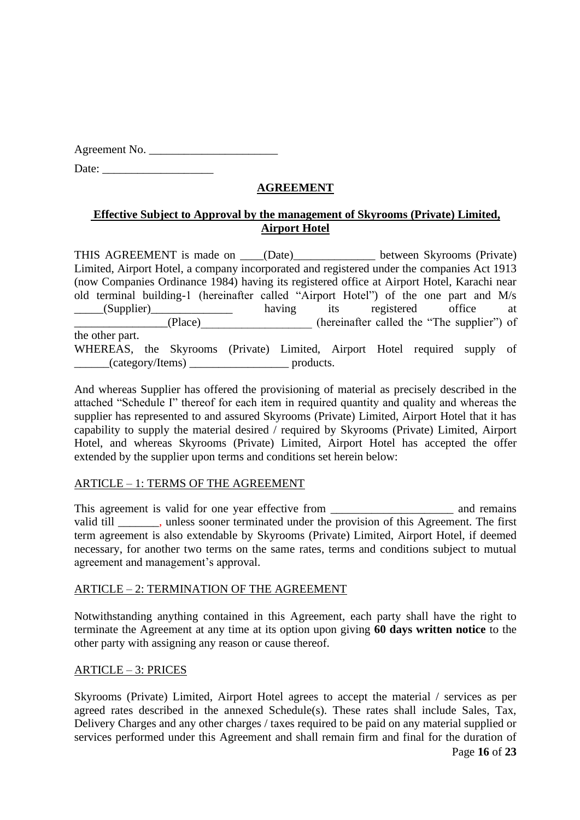Agreement No. \_\_\_\_\_\_\_\_\_\_\_\_\_\_\_\_\_\_\_\_\_\_

Date:

# **AGREEMENT**

# **Effective Subject to Approval by the management of Skyrooms (Private) Limited, Airport Hotel**

THIS AGREEMENT is made on \_\_\_\_(Date)\_\_\_\_\_\_\_\_\_\_\_\_\_\_ between Skyrooms (Private) Limited, Airport Hotel, a company incorporated and registered under the companies Act 1913 (now Companies Ordinance 1984) having its registered office at Airport Hotel, Karachi near old terminal building-1 (hereinafter called "Airport Hotel") of the one part and M/s (Supplier)  $\qquad \qquad \qquad \qquad \qquad \qquad \qquad \qquad \qquad \qquad \text{having} \qquad \qquad \text{itis} \qquad \qquad \text{to} \qquad \qquad \text{office} \qquad \qquad \text{at}$ \_\_\_\_\_\_\_\_\_\_\_\_\_\_\_\_(Place)\_\_\_\_\_\_\_\_\_\_\_\_\_\_\_\_\_\_\_ (hereinafter called the "The supplier") of the other part. WHEREAS, the Skyrooms (Private) Limited, Airport Hotel required supply of \_\_\_\_\_\_(category/Items) \_\_\_\_\_\_\_\_\_\_\_\_\_\_\_\_\_ products.

And whereas Supplier has offered the provisioning of material as precisely described in the attached "Schedule I" thereof for each item in required quantity and quality and whereas the supplier has represented to and assured Skyrooms (Private) Limited, Airport Hotel that it has capability to supply the material desired / required by Skyrooms (Private) Limited, Airport Hotel, and whereas Skyrooms (Private) Limited, Airport Hotel has accepted the offer extended by the supplier upon terms and conditions set herein below:

# ARTICLE – 1: TERMS OF THE AGREEMENT

This agreement is valid for one year effective from \_\_\_\_\_\_\_\_\_\_\_\_\_\_\_\_\_\_\_\_\_\_\_\_\_\_\_\_ and remains valid till \_\_\_\_\_\_\_, unless sooner terminated under the provision of this Agreement. The first term agreement is also extendable by Skyrooms (Private) Limited, Airport Hotel, if deemed necessary, for another two terms on the same rates, terms and conditions subject to mutual agreement and management's approval.

# ARTICLE – 2: TERMINATION OF THE AGREEMENT

Notwithstanding anything contained in this Agreement, each party shall have the right to terminate the Agreement at any time at its option upon giving **60 days written notice** to the other party with assigning any reason or cause thereof.

# ARTICLE – 3: PRICES

Skyrooms (Private) Limited, Airport Hotel agrees to accept the material / services as per agreed rates described in the annexed Schedule(s). These rates shall include Sales, Tax, Delivery Charges and any other charges / taxes required to be paid on any material supplied or services performed under this Agreement and shall remain firm and final for the duration of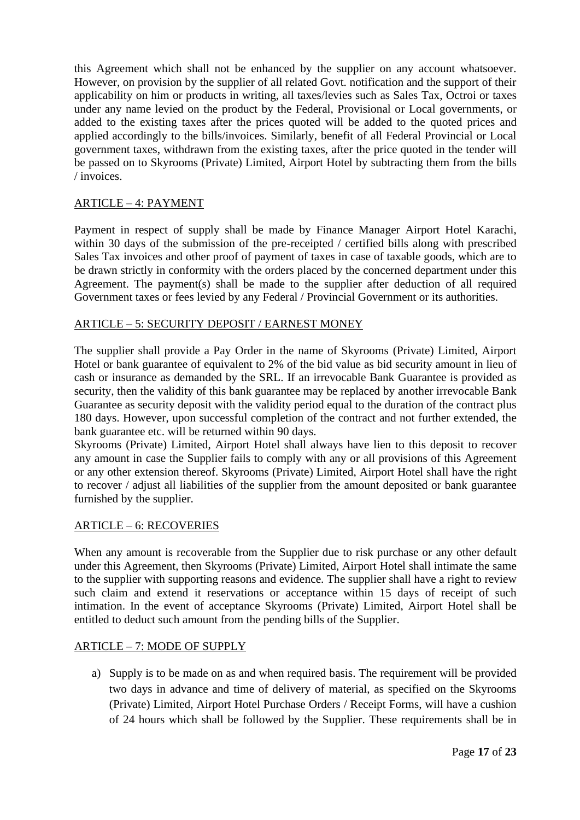this Agreement which shall not be enhanced by the supplier on any account whatsoever. However, on provision by the supplier of all related Govt. notification and the support of their applicability on him or products in writing, all taxes/levies such as Sales Tax, Octroi or taxes under any name levied on the product by the Federal, Provisional or Local governments, or added to the existing taxes after the prices quoted will be added to the quoted prices and applied accordingly to the bills/invoices. Similarly, benefit of all Federal Provincial or Local government taxes, withdrawn from the existing taxes, after the price quoted in the tender will be passed on to Skyrooms (Private) Limited, Airport Hotel by subtracting them from the bills / invoices.

# ARTICLE – 4: PAYMENT

Payment in respect of supply shall be made by Finance Manager Airport Hotel Karachi, within 30 days of the submission of the pre-receipted / certified bills along with prescribed Sales Tax invoices and other proof of payment of taxes in case of taxable goods, which are to be drawn strictly in conformity with the orders placed by the concerned department under this Agreement. The payment(s) shall be made to the supplier after deduction of all required Government taxes or fees levied by any Federal / Provincial Government or its authorities.

# ARTICLE – 5: SECURITY DEPOSIT / EARNEST MONEY

The supplier shall provide a Pay Order in the name of Skyrooms (Private) Limited, Airport Hotel or bank guarantee of equivalent to 2% of the bid value as bid security amount in lieu of cash or insurance as demanded by the SRL. If an irrevocable Bank Guarantee is provided as security, then the validity of this bank guarantee may be replaced by another irrevocable Bank Guarantee as security deposit with the validity period equal to the duration of the contract plus 180 days. However, upon successful completion of the contract and not further extended, the bank guarantee etc. will be returned within 90 days.

Skyrooms (Private) Limited, Airport Hotel shall always have lien to this deposit to recover any amount in case the Supplier fails to comply with any or all provisions of this Agreement or any other extension thereof. Skyrooms (Private) Limited, Airport Hotel shall have the right to recover / adjust all liabilities of the supplier from the amount deposited or bank guarantee furnished by the supplier.

### ARTICLE – 6: RECOVERIES

When any amount is recoverable from the Supplier due to risk purchase or any other default under this Agreement, then Skyrooms (Private) Limited, Airport Hotel shall intimate the same to the supplier with supporting reasons and evidence. The supplier shall have a right to review such claim and extend it reservations or acceptance within 15 days of receipt of such intimation. In the event of acceptance Skyrooms (Private) Limited, Airport Hotel shall be entitled to deduct such amount from the pending bills of the Supplier.

### ARTICLE – 7: MODE OF SUPPLY

a) Supply is to be made on as and when required basis. The requirement will be provided two days in advance and time of delivery of material, as specified on the Skyrooms (Private) Limited, Airport Hotel Purchase Orders / Receipt Forms, will have a cushion of 24 hours which shall be followed by the Supplier. These requirements shall be in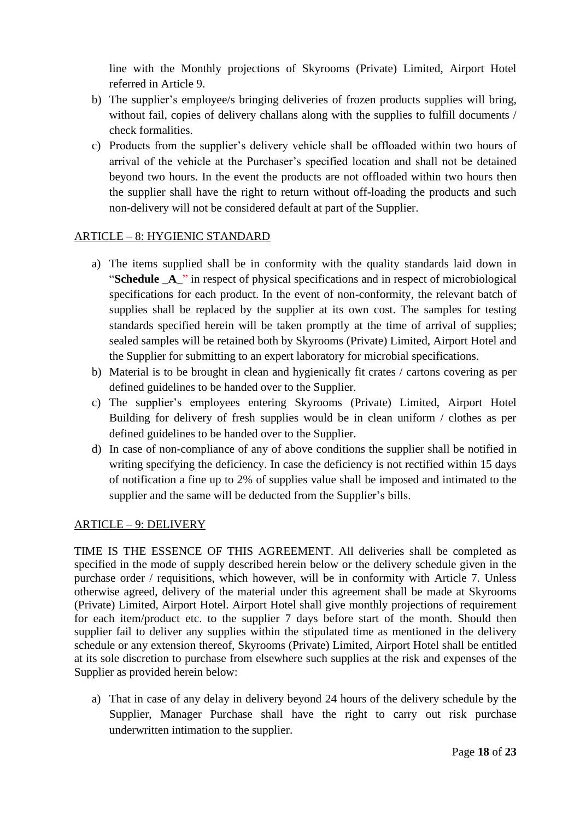line with the Monthly projections of Skyrooms (Private) Limited, Airport Hotel referred in Article 9.

- b) The supplier's employee/s bringing deliveries of frozen products supplies will bring, without fail, copies of delivery challans along with the supplies to fulfill documents / check formalities.
- c) Products from the supplier's delivery vehicle shall be offloaded within two hours of arrival of the vehicle at the Purchaser's specified location and shall not be detained beyond two hours. In the event the products are not offloaded within two hours then the supplier shall have the right to return without off-loading the products and such non-delivery will not be considered default at part of the Supplier.

# ARTICLE – 8: HYGIENIC STANDARD

- a) The items supplied shall be in conformity with the quality standards laid down in "**Schedule \_A\_**" in respect of physical specifications and in respect of microbiological specifications for each product. In the event of non-conformity, the relevant batch of supplies shall be replaced by the supplier at its own cost. The samples for testing standards specified herein will be taken promptly at the time of arrival of supplies; sealed samples will be retained both by Skyrooms (Private) Limited, Airport Hotel and the Supplier for submitting to an expert laboratory for microbial specifications.
- b) Material is to be brought in clean and hygienically fit crates / cartons covering as per defined guidelines to be handed over to the Supplier.
- c) The supplier's employees entering Skyrooms (Private) Limited, Airport Hotel Building for delivery of fresh supplies would be in clean uniform / clothes as per defined guidelines to be handed over to the Supplier.
- d) In case of non-compliance of any of above conditions the supplier shall be notified in writing specifying the deficiency. In case the deficiency is not rectified within 15 days of notification a fine up to 2% of supplies value shall be imposed and intimated to the supplier and the same will be deducted from the Supplier's bills.

# ARTICLE – 9: DELIVERY

TIME IS THE ESSENCE OF THIS AGREEMENT. All deliveries shall be completed as specified in the mode of supply described herein below or the delivery schedule given in the purchase order / requisitions, which however, will be in conformity with Article 7. Unless otherwise agreed, delivery of the material under this agreement shall be made at Skyrooms (Private) Limited, Airport Hotel. Airport Hotel shall give monthly projections of requirement for each item/product etc. to the supplier 7 days before start of the month. Should then supplier fail to deliver any supplies within the stipulated time as mentioned in the delivery schedule or any extension thereof, Skyrooms (Private) Limited, Airport Hotel shall be entitled at its sole discretion to purchase from elsewhere such supplies at the risk and expenses of the Supplier as provided herein below:

a) That in case of any delay in delivery beyond 24 hours of the delivery schedule by the Supplier, Manager Purchase shall have the right to carry out risk purchase underwritten intimation to the supplier.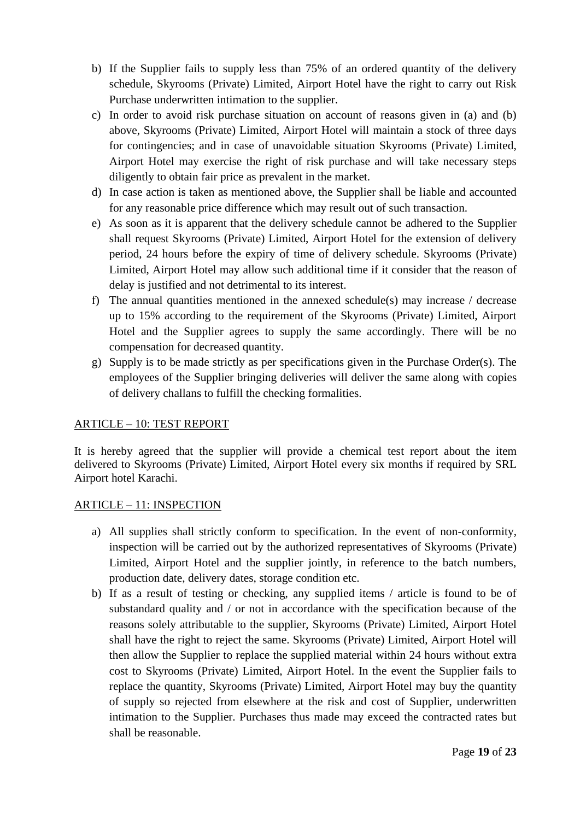- b) If the Supplier fails to supply less than 75% of an ordered quantity of the delivery schedule, Skyrooms (Private) Limited, Airport Hotel have the right to carry out Risk Purchase underwritten intimation to the supplier.
- c) In order to avoid risk purchase situation on account of reasons given in (a) and (b) above, Skyrooms (Private) Limited, Airport Hotel will maintain a stock of three days for contingencies; and in case of unavoidable situation Skyrooms (Private) Limited, Airport Hotel may exercise the right of risk purchase and will take necessary steps diligently to obtain fair price as prevalent in the market.
- d) In case action is taken as mentioned above, the Supplier shall be liable and accounted for any reasonable price difference which may result out of such transaction.
- e) As soon as it is apparent that the delivery schedule cannot be adhered to the Supplier shall request Skyrooms (Private) Limited, Airport Hotel for the extension of delivery period, 24 hours before the expiry of time of delivery schedule. Skyrooms (Private) Limited, Airport Hotel may allow such additional time if it consider that the reason of delay is justified and not detrimental to its interest.
- f) The annual quantities mentioned in the annexed schedule(s) may increase / decrease up to 15% according to the requirement of the Skyrooms (Private) Limited, Airport Hotel and the Supplier agrees to supply the same accordingly. There will be no compensation for decreased quantity.
- g) Supply is to be made strictly as per specifications given in the Purchase Order(s). The employees of the Supplier bringing deliveries will deliver the same along with copies of delivery challans to fulfill the checking formalities.

# ARTICLE – 10: TEST REPORT

It is hereby agreed that the supplier will provide a chemical test report about the item delivered to Skyrooms (Private) Limited, Airport Hotel every six months if required by SRL Airport hotel Karachi.

# ARTICLE – 11: INSPECTION

- a) All supplies shall strictly conform to specification. In the event of non-conformity, inspection will be carried out by the authorized representatives of Skyrooms (Private) Limited, Airport Hotel and the supplier jointly, in reference to the batch numbers, production date, delivery dates, storage condition etc.
- b) If as a result of testing or checking, any supplied items / article is found to be of substandard quality and / or not in accordance with the specification because of the reasons solely attributable to the supplier, Skyrooms (Private) Limited, Airport Hotel shall have the right to reject the same. Skyrooms (Private) Limited, Airport Hotel will then allow the Supplier to replace the supplied material within 24 hours without extra cost to Skyrooms (Private) Limited, Airport Hotel. In the event the Supplier fails to replace the quantity, Skyrooms (Private) Limited, Airport Hotel may buy the quantity of supply so rejected from elsewhere at the risk and cost of Supplier, underwritten intimation to the Supplier. Purchases thus made may exceed the contracted rates but shall be reasonable.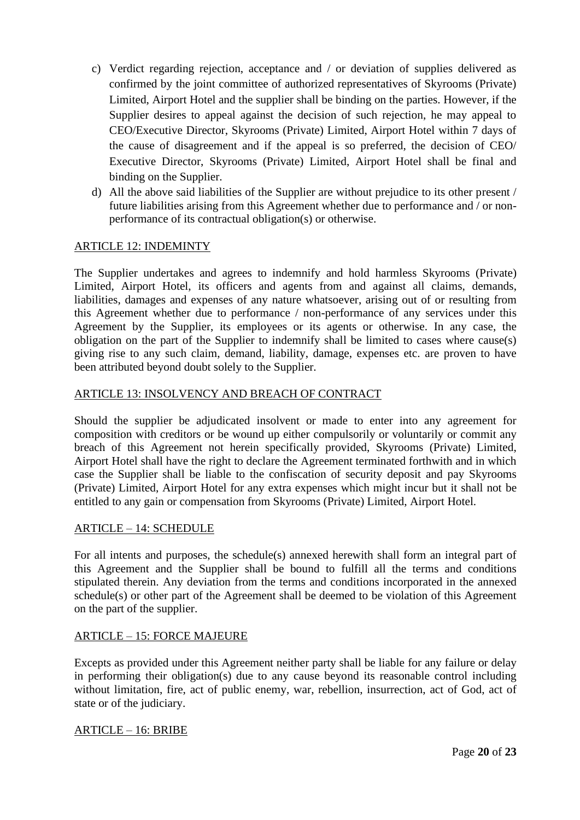- c) Verdict regarding rejection, acceptance and / or deviation of supplies delivered as confirmed by the joint committee of authorized representatives of Skyrooms (Private) Limited, Airport Hotel and the supplier shall be binding on the parties. However, if the Supplier desires to appeal against the decision of such rejection, he may appeal to CEO/Executive Director, Skyrooms (Private) Limited, Airport Hotel within 7 days of the cause of disagreement and if the appeal is so preferred, the decision of CEO/ Executive Director, Skyrooms (Private) Limited, Airport Hotel shall be final and binding on the Supplier.
- d) All the above said liabilities of the Supplier are without prejudice to its other present / future liabilities arising from this Agreement whether due to performance and / or nonperformance of its contractual obligation(s) or otherwise.

# ARTICLE 12: INDEMINTY

The Supplier undertakes and agrees to indemnify and hold harmless Skyrooms (Private) Limited, Airport Hotel, its officers and agents from and against all claims, demands, liabilities, damages and expenses of any nature whatsoever, arising out of or resulting from this Agreement whether due to performance / non-performance of any services under this Agreement by the Supplier, its employees or its agents or otherwise. In any case, the obligation on the part of the Supplier to indemnify shall be limited to cases where cause(s) giving rise to any such claim, demand, liability, damage, expenses etc. are proven to have been attributed beyond doubt solely to the Supplier.

### ARTICLE 13: INSOLVENCY AND BREACH OF CONTRACT

Should the supplier be adjudicated insolvent or made to enter into any agreement for composition with creditors or be wound up either compulsorily or voluntarily or commit any breach of this Agreement not herein specifically provided, Skyrooms (Private) Limited, Airport Hotel shall have the right to declare the Agreement terminated forthwith and in which case the Supplier shall be liable to the confiscation of security deposit and pay Skyrooms (Private) Limited, Airport Hotel for any extra expenses which might incur but it shall not be entitled to any gain or compensation from Skyrooms (Private) Limited, Airport Hotel.

### ARTICLE – 14: SCHEDULE

For all intents and purposes, the schedule(s) annexed herewith shall form an integral part of this Agreement and the Supplier shall be bound to fulfill all the terms and conditions stipulated therein. Any deviation from the terms and conditions incorporated in the annexed schedule(s) or other part of the Agreement shall be deemed to be violation of this Agreement on the part of the supplier.

### ARTICLE – 15: FORCE MAJEURE

Excepts as provided under this Agreement neither party shall be liable for any failure or delay in performing their obligation(s) due to any cause beyond its reasonable control including without limitation, fire, act of public enemy, war, rebellion, insurrection, act of God, act of state or of the judiciary.

### ARTICLE – 16: BRIBE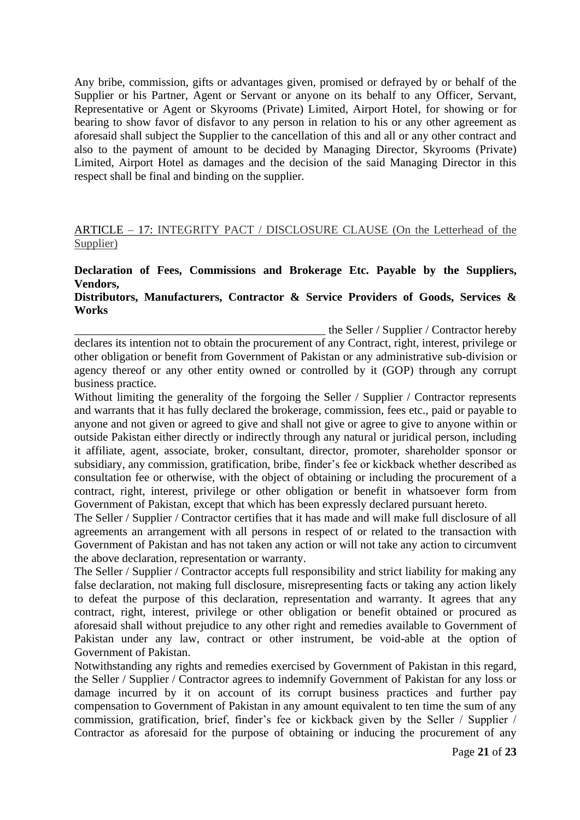Any bribe, commission, gifts or advantages given, promised or defrayed by or behalf of the Supplier or his Partner, Agent or Servant or anyone on its behalf to any Officer, Servant, Representative or Agent or Skyrooms (Private) Limited, Airport Hotel, for showing or for bearing to show favor of disfavor to any person in relation to his or any other agreement as aforesaid shall subject the Supplier to the cancellation of this and all or any other contract and also to the payment of amount to be decided by Managing Director, Skyrooms (Private) Limited, Airport Hotel as damages and the decision of the said Managing Director in this respect shall be final and binding on the supplier.

# ARTICLE – 17: INTEGRITY PACT / DISCLOSURE CLAUSE (On the Letterhead of the Supplier)

# **Declaration of Fees, Commissions and Brokerage Etc. Payable by the Suppliers, Vendors,**

### **Distributors, Manufacturers, Contractor & Service Providers of Goods, Services & Works**

the Seller / Supplier / Contractor hereby declares its intention not to obtain the procurement of any Contract, right, interest, privilege or other obligation or benefit from Government of Pakistan or any administrative sub-division or agency thereof or any other entity owned or controlled by it (GOP) through any corrupt business practice.

Without limiting the generality of the forgoing the Seller / Supplier / Contractor represents and warrants that it has fully declared the brokerage, commission, fees etc., paid or payable to anyone and not given or agreed to give and shall not give or agree to give to anyone within or outside Pakistan either directly or indirectly through any natural or juridical person, including it affiliate, agent, associate, broker, consultant, director, promoter, shareholder sponsor or subsidiary, any commission, gratification, bribe, finder's fee or kickback whether described as consultation fee or otherwise, with the object of obtaining or including the procurement of a contract, right, interest, privilege or other obligation or benefit in whatsoever form from Government of Pakistan, except that which has been expressly declared pursuant hereto.

The Seller / Supplier / Contractor certifies that it has made and will make full disclosure of all agreements an arrangement with all persons in respect of or related to the transaction with Government of Pakistan and has not taken any action or will not take any action to circumvent the above declaration, representation or warranty.

The Seller / Supplier / Contractor accepts full responsibility and strict liability for making any false declaration, not making full disclosure, misrepresenting facts or taking any action likely to defeat the purpose of this declaration, representation and warranty. It agrees that any contract, right, interest, privilege or other obligation or benefit obtained or procured as aforesaid shall without prejudice to any other right and remedies available to Government of Pakistan under any law, contract or other instrument, be void-able at the option of Government of Pakistan.

Notwithstanding any rights and remedies exercised by Government of Pakistan in this regard, the Seller / Supplier / Contractor agrees to indemnify Government of Pakistan for any loss or damage incurred by it on account of its corrupt business practices and further pay compensation to Government of Pakistan in any amount equivalent to ten time the sum of any commission, gratification, brief, finder's fee or kickback given by the Seller / Supplier / Contractor as aforesaid for the purpose of obtaining or inducing the procurement of any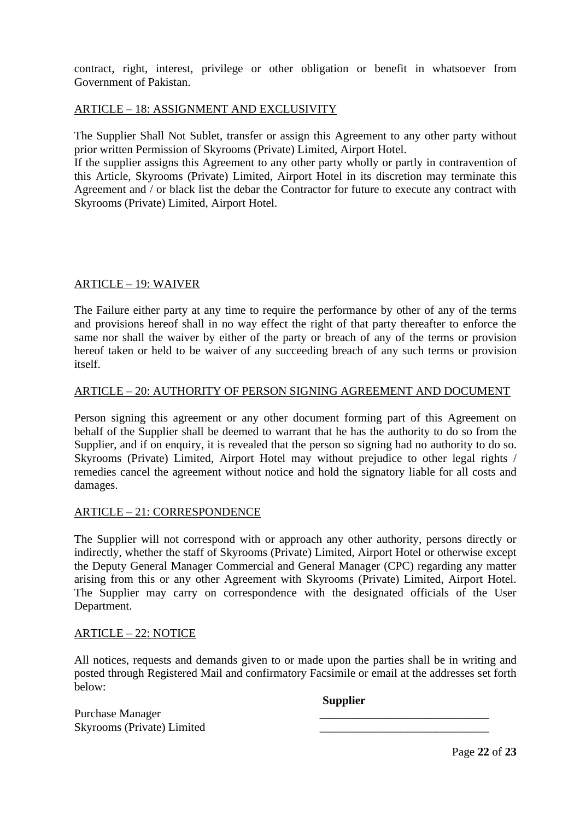contract, right, interest, privilege or other obligation or benefit in whatsoever from Government of Pakistan.

### ARTICLE – 18: ASSIGNMENT AND EXCLUSIVITY

The Supplier Shall Not Sublet, transfer or assign this Agreement to any other party without prior written Permission of Skyrooms (Private) Limited, Airport Hotel.

If the supplier assigns this Agreement to any other party wholly or partly in contravention of this Article, Skyrooms (Private) Limited, Airport Hotel in its discretion may terminate this Agreement and / or black list the debar the Contractor for future to execute any contract with Skyrooms (Private) Limited, Airport Hotel.

### ARTICLE – 19: WAIVER

The Failure either party at any time to require the performance by other of any of the terms and provisions hereof shall in no way effect the right of that party thereafter to enforce the same nor shall the waiver by either of the party or breach of any of the terms or provision hereof taken or held to be waiver of any succeeding breach of any such terms or provision itself.

# ARTICLE – 20: AUTHORITY OF PERSON SIGNING AGREEMENT AND DOCUMENT

Person signing this agreement or any other document forming part of this Agreement on behalf of the Supplier shall be deemed to warrant that he has the authority to do so from the Supplier, and if on enquiry, it is revealed that the person so signing had no authority to do so. Skyrooms (Private) Limited, Airport Hotel may without prejudice to other legal rights / remedies cancel the agreement without notice and hold the signatory liable for all costs and damages.

### ARTICLE – 21: CORRESPONDENCE

The Supplier will not correspond with or approach any other authority, persons directly or indirectly, whether the staff of Skyrooms (Private) Limited, Airport Hotel or otherwise except the Deputy General Manager Commercial and General Manager (CPC) regarding any matter arising from this or any other Agreement with Skyrooms (Private) Limited, Airport Hotel. The Supplier may carry on correspondence with the designated officials of the User Department.

### ARTICLE – 22: NOTICE

All notices, requests and demands given to or made upon the parties shall be in writing and posted through Registered Mail and confirmatory Facsimile or email at the addresses set forth below:

**Supplier**

Purchase Manager Skyrooms (Private) Limited

Page **22** of **23**